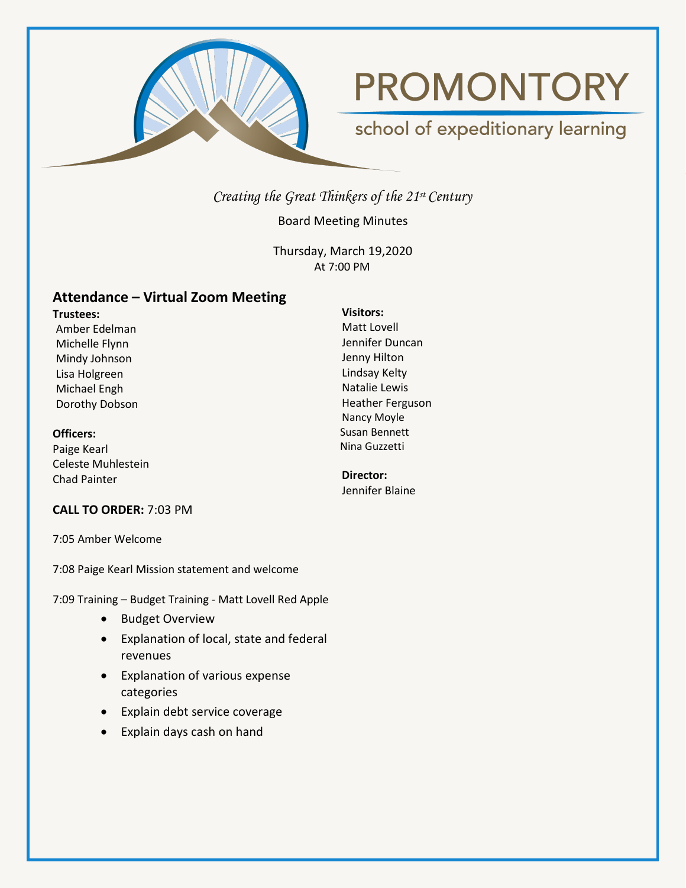

# **PROMONTORY**

## school of expeditionary learning

*Creating the Great Thinkers of the 21st Century*

Board Meeting Minutes

Thursday, March 19,2020 At 7:00 PM

### **Attendance – Virtual Zoom Meeting**

**Trustees:** Amber Edelman Michelle Flynn Mindy Johnson Lisa Holgreen Michael Engh Dorothy Dobson

**Officers:**

Paige Kearl Celeste Muhlestein Chad Painter

#### **CALL TO ORDER:** 7:03 PM

7:05 Amber Welcome

7:08 Paige Kearl Mission statement and welcome

7:09 Training – Budget Training - Matt Lovell Red Apple

- Budget Overview
- Explanation of local, state and federal revenues
- Explanation of various expense categories
- Explain debt service coverage
- Explain days cash on hand

#### **Visitors:** Matt Lovell

Jennifer Duncan Jenny Hilton Lindsay Kelty Natalie Lewis Heather Ferguson Nancy Moyle Susan Bennett Nina Guzzetti

**Director:** Jennifer Blaine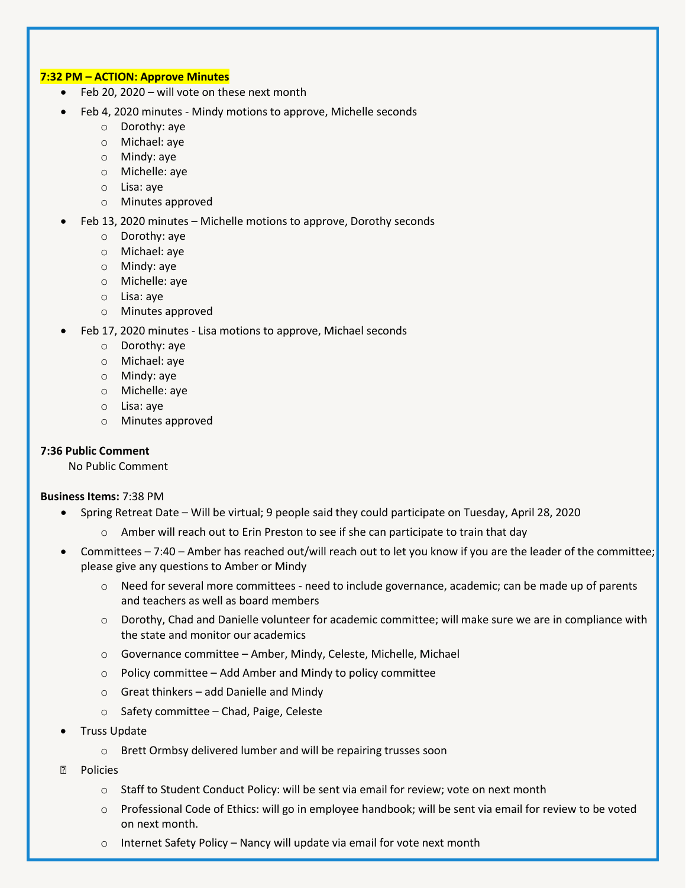#### **7:32 PM – ACTION: Approve Minutes**

- Feb 20, 2020 will vote on these next month
- Feb 4, 2020 minutes Mindy motions to approve, Michelle seconds
	- o Dorothy: aye
	- o Michael: aye
	- o Mindy: aye
	- o Michelle: aye
	- o Lisa: aye
	- o Minutes approved
- Feb 13, 2020 minutes Michelle motions to approve, Dorothy seconds
	- o Dorothy: aye
	- o Michael: aye
	- o Mindy: aye
	- o Michelle: aye
	- o Lisa: aye
	- o Minutes approved
- Feb 17, 2020 minutes Lisa motions to approve, Michael seconds
	- o Dorothy: aye
	- o Michael: aye
	- o Mindy: aye
	- o Michelle: aye
	- o Lisa: aye
	- o Minutes approved

#### **7:36 Public Comment**

No Public Comment

#### **Business Items:** 7:38 PM

- Spring Retreat Date Will be virtual; 9 people said they could participate on Tuesday, April 28, 2020
	- $\circ$  Amber will reach out to Erin Preston to see if she can participate to train that day
- Committees 7:40 Amber has reached out/will reach out to let you know if you are the leader of the committee; please give any questions to Amber or Mindy
	- $\circ$  Need for several more committees need to include governance, academic; can be made up of parents and teachers as well as board members
	- o Dorothy, Chad and Danielle volunteer for academic committee; will make sure we are in compliance with the state and monitor our academics
	- o Governance committee Amber, Mindy, Celeste, Michelle, Michael
	- $\circ$  Policy committee Add Amber and Mindy to policy committee
	- o Great thinkers add Danielle and Mindy
	- o Safety committee Chad, Paige, Celeste
- Truss Update
	- o Brett Ormbsy delivered lumber and will be repairing trusses soon
- **Policies** 
	- $\circ$  Staff to Student Conduct Policy: will be sent via email for review; vote on next month
	- o Professional Code of Ethics: will go in employee handbook; will be sent via email for review to be voted on next month.
	- $\circ$  Internet Safety Policy Nancy will update via email for vote next month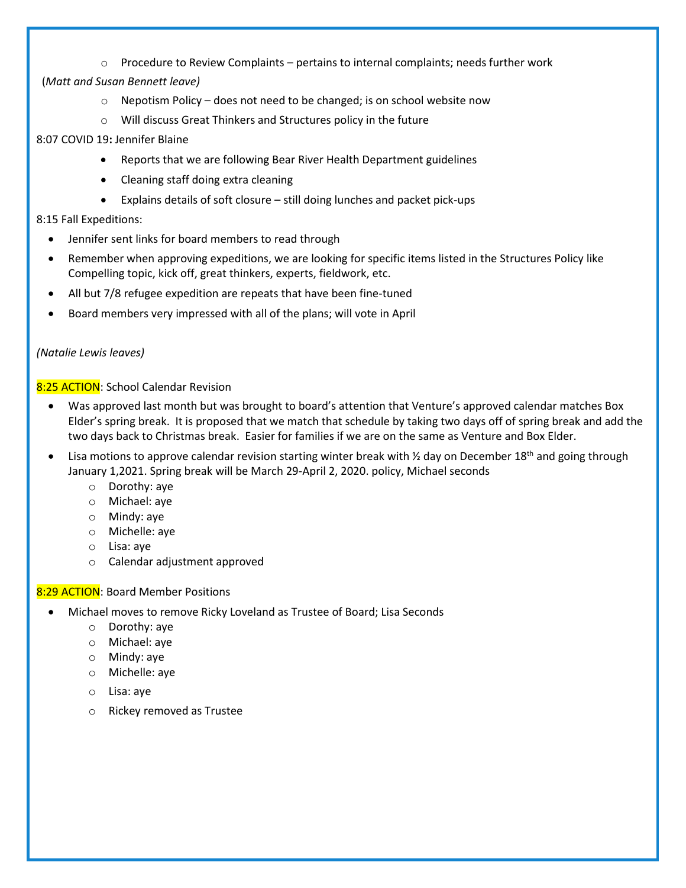$\circ$  Procedure to Review Complaints – pertains to internal complaints; needs further work

#### (*Matt and Susan Bennett leave)*

- $\circ$  Nepotism Policy does not need to be changed; is on school website now
- o Will discuss Great Thinkers and Structures policy in the future

#### 8:07 COVID 19**:** Jennifer Blaine

- Reports that we are following Bear River Health Department guidelines
- Cleaning staff doing extra cleaning
- Explains details of soft closure still doing lunches and packet pick-ups

#### 8:15 Fall Expeditions:

- Jennifer sent links for board members to read through
- Remember when approving expeditions, we are looking for specific items listed in the Structures Policy like Compelling topic, kick off, great thinkers, experts, fieldwork, etc.
- All but 7/8 refugee expedition are repeats that have been fine-tuned
- Board members very impressed with all of the plans; will vote in April

#### *(Natalie Lewis leaves)*

#### 8:25 ACTION: School Calendar Revision

- Was approved last month but was brought to board's attention that Venture's approved calendar matches Box Elder's spring break. It is proposed that we match that schedule by taking two days off of spring break and add the two days back to Christmas break. Easier for families if we are on the same as Venture and Box Elder.
- Lisa motions to approve calendar revision starting winter break with 1/2 day on December 18<sup>th</sup> and going through January 1,2021. Spring break will be March 29-April 2, 2020. policy, Michael seconds
	- o Dorothy: aye
	- o Michael: aye
	- o Mindy: aye
	- o Michelle: aye
	- o Lisa: aye
	- o Calendar adjustment approved

#### 8:29 ACTION: Board Member Positions

- Michael moves to remove Ricky Loveland as Trustee of Board; Lisa Seconds
	- o Dorothy: aye
	- o Michael: aye
	- o Mindy: aye
	- o Michelle: aye
	- o Lisa: aye
	- o Rickey removed as Trustee